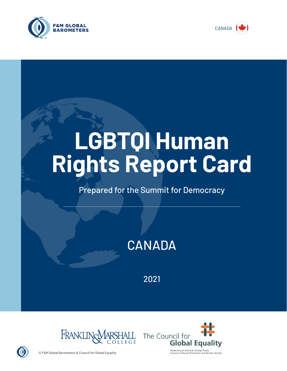



# **LGBTQI Human Rights Report Card**

# Prepared for the Summit for Democracy

# **CANADA**

2021





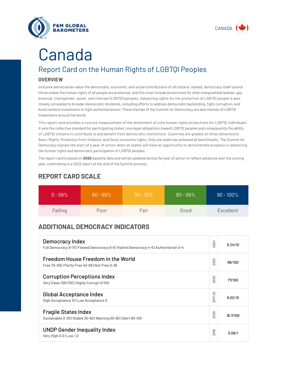



# Canada

# Report Card on the Human Rights of LGBTQI Peoples

## **OVERVIEW**

Inclusive democracies value the democratic, economic, and social contributions of *all* citizens. Indeed, democracy itself cannot thrive unless the human rights of all people are protected, and this must include protections for often marginalized lesbian, gay, bisexual, transgender, queer, and intersex (LGBTQI) peoples. Advancing rights for the protection of LGBTQI people is also closely correlated to broader democratic dividends, including efforts to address democratic backsliding, fight corruption, and build resilient movements to fight authoritarianism. These themes of the Summit for Democracy are also themes of LGBTQI movements around the world.

This report card provides a concise measurement of the attainment of core human rights protections for LGBTQI individuals. It sets the collective standard for participating states' core legal obligations toward LGBTQI peoples and consequently the ability of LGBTQI citizens to contribute to and benefit from democratic institutions. Countries are graded on three dimensions: Basic Rights, Protection from Violence, and Socio-economic rights. Only one state has achieved all benchmarks. The Summit for Democracy signals the start of a year of action when all states will have an opportunity to demonstrate progress in advancing the human rights and democratic participation of LGBTQI peoples.

The report card is based on **2020** baseline data and will be updated during the year of action to reflect advances over the coming year, culminating in a 2022 report at the end of the Summit process.

| $0 - 59\%$ | $60 - 69\%$ | $70 - 79\%$ | $80 - 89%$ | $90 - 100\%$ |
|------------|-------------|-------------|------------|--------------|
| Failing    | Poor        | Fair        | Good       | Excellent    |

# **REPORT CARD SCALE**

# **ADDITIONAL DEMOCRACY INDICATORS**

| Democracy Index<br>Full Democracy 8-10   Flawed Democracy 6-8   Hybrid Democracy 4-6   Authoritarian 0-4 | 2020                | 9.24/10  |
|----------------------------------------------------------------------------------------------------------|---------------------|----------|
| Freedom House Freedom in the World<br>Free 70-100   Partly Free 40-69   Not Free 0-39                    | 2020                | 98/100   |
| <b>Corruption Perceptions Index</b><br>Very Clean 100/100   Highly Corrupt 0/100                         | 020<br>$\sim$       | 77/100   |
| <b>Global Acceptance Index</b><br>High Acceptance 10   Low Acceptance 0                                  | 2017-20             | 9.02/10  |
| <b>Fragile States Index</b><br>Sustainable 0-30   Stable 30-60   Warning 60-90   Alert 90-100            | 2020                | 18.7/100 |
| <b>UNDP Gender Inequality Index</b><br>Very High 0.0   Low 1.0                                           | တ<br>$\overline{5}$ | 0.08/1   |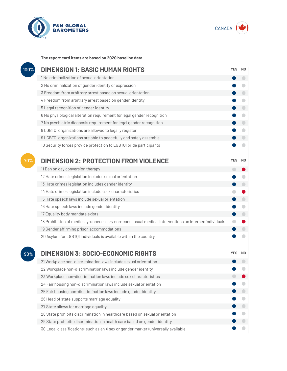



**The report card items are based on 2020 baseline data.**

| 100% | <b>DIMENSION 1: BASIC HUMAN RIGHTS</b>                                                               |            |                          |
|------|------------------------------------------------------------------------------------------------------|------------|--------------------------|
|      | 1 No criminalization of sexual orientation                                                           |            | $\overline{\phantom{0}}$ |
|      | 2 No criminalization of gender identity or expression                                                |            |                          |
|      | 3 Freedom from arbitrary arrest based on sexual orientation                                          |            |                          |
|      | 4 Freedom from arbitrary arrest based on gender identity                                             |            | O                        |
|      | 5 Legal recognition of gender identity                                                               |            | $\bigcirc$               |
|      | 6 No physiological alteration requirement for legal gender recognition                               |            | $\bigcirc$               |
|      | 7 No psychiatric diagnosis requirement for legal gender recognition                                  |            | $\bigcirc$               |
|      | 8 LGBTQI organizations are allowed to legally register                                               |            | O                        |
|      | 9 LGBTQI organizations are able to peacefully and safely assemble                                    |            |                          |
|      | 10 Security forces provide protection to LGBTQI pride participants                                   |            |                          |
| 70%  | <b>DIMENSION 2: PROTECTION FROM VIOLENCE</b>                                                         | <b>YES</b> | N <sub>0</sub>           |
|      | 11 Ban on gay conversion therapy                                                                     | o          |                          |
|      | 12 Hate crimes legislation includes sexual orientation                                               |            |                          |
|      | 13 Hate crimes legislation includes gender identity                                                  |            | $\bigcirc$               |
|      | 14 Hate crimes legislation includes sex characteristics                                              |            |                          |
|      | 15 Hate speech laws include sexual orientation                                                       |            | $\bigcirc$               |
|      | 16 Hate speech laws include gender identity                                                          |            | O                        |
|      | 17 Equality body mandate exists                                                                      |            |                          |
|      | 18 Prohibition of medically-unnecessary non-consensual medical interventions on intersex individuals |            |                          |
|      | 19 Gender affirming prison accommodations                                                            |            |                          |
|      | 20 Asylum for LGBTQI individuals is available within the country                                     |            |                          |
| 90%  | <b>DIMENSION 3: SOCIO-ECONOMIC RIGHTS</b>                                                            | <b>YES</b> | N <sub>0</sub>           |
|      | 21 Workplace non-discrimination laws include sexual orientation                                      |            |                          |
|      | 22 Workplace non-discrimination laws include gender identity                                         |            |                          |
|      | 23 Workplace non-discrimination laws include sex characteristics                                     |            |                          |
|      | 24 Fair housing non-discrimination laws include sexual orientation                                   |            |                          |
|      | 25 Fair housing non-discrimination laws include gender identity                                      |            |                          |
|      | 26 Head of state supports marriage equality                                                          |            |                          |
|      | 27 State allows for marriage equality                                                                |            |                          |
|      | 28 State prohibits discrimination in healthcare based on sexual orientation                          |            |                          |
|      | 29 State prohibits discrimination in health care based on gender identity                            |            |                          |
|      | 30 Legal classifications (such as an X sex or gender marker) universally available                   |            |                          |
|      |                                                                                                      |            |                          |